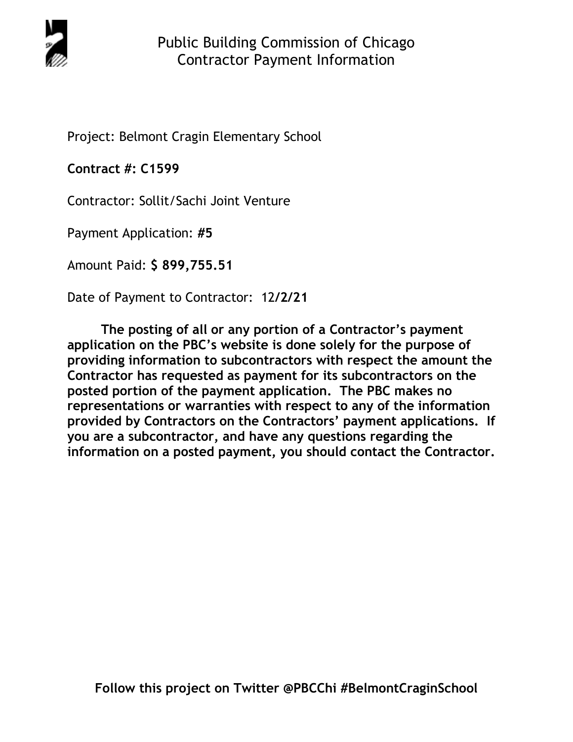

Project: Belmont Cragin Elementary School

**Contract #: C1599**

Contractor: Sollit/Sachi Joint Venture

Payment Application: **#5** 

Amount Paid: **\$ 899,755.51** 

Date of Payment to Contractor: 12**/2/21** 

**The posting of all or any portion of a Contractor's payment application on the PBC's website is done solely for the purpose of providing information to subcontractors with respect the amount the Contractor has requested as payment for its subcontractors on the posted portion of the payment application. The PBC makes no representations or warranties with respect to any of the information provided by Contractors on the Contractors' payment applications. If you are a subcontractor, and have any questions regarding the information on a posted payment, you should contact the Contractor.**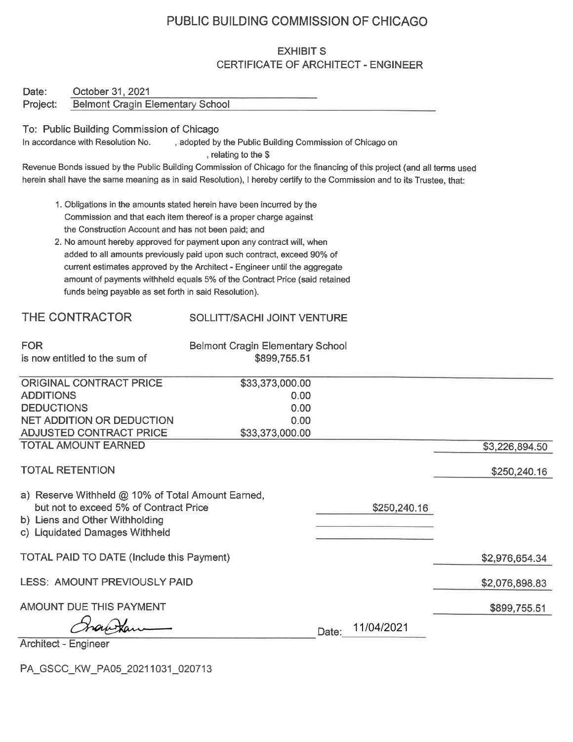# PUBLIC BUILDING COMMISSION OF CHICAGO

## **EXHIBIT S** CERTIFICATE OF ARCHITECT - ENGINEER

| Date:                  | October 31, 2021                                                 |                                                                                                                         |                  |                |
|------------------------|------------------------------------------------------------------|-------------------------------------------------------------------------------------------------------------------------|------------------|----------------|
| Project:               | <b>Belmont Cragin Elementary School</b>                          |                                                                                                                         |                  |                |
|                        |                                                                  |                                                                                                                         |                  |                |
|                        | To: Public Building Commission of Chicago                        |                                                                                                                         |                  |                |
|                        | In accordance with Resolution No.                                | , adopted by the Public Building Commission of Chicago on                                                               |                  |                |
|                        |                                                                  | , relating to the \$                                                                                                    |                  |                |
|                        |                                                                  | Revenue Bonds issued by the Public Building Commission of Chicago for the financing of this project (and all terms used |                  |                |
|                        |                                                                  | herein shall have the same meaning as in said Resolution), I hereby certify to the Commission and to its Trustee, that: |                  |                |
|                        |                                                                  | 1. Obligations in the amounts stated herein have been incurred by the                                                   |                  |                |
|                        |                                                                  | Commission and that each item thereof is a proper charge against                                                        |                  |                |
|                        | the Construction Account and has not been paid; and              |                                                                                                                         |                  |                |
|                        |                                                                  | 2. No amount hereby approved for payment upon any contract will, when                                                   |                  |                |
|                        |                                                                  | added to all amounts previously paid upon such contract, exceed 90% of                                                  |                  |                |
|                        |                                                                  | current estimates approved by the Architect - Engineer until the aggregate                                              |                  |                |
|                        |                                                                  | amount of payments withheld equals 5% of the Contract Price (said retained                                              |                  |                |
|                        | funds being payable as set forth in said Resolution).            |                                                                                                                         |                  |                |
|                        |                                                                  |                                                                                                                         |                  |                |
|                        | THE CONTRACTOR                                                   | SOLLITT/SACHI JOINT VENTURE                                                                                             |                  |                |
|                        |                                                                  |                                                                                                                         |                  |                |
| <b>FOR</b>             |                                                                  | <b>Belmont Cragin Elementary School</b>                                                                                 |                  |                |
|                        | is now entitled to the sum of                                    | \$899,755.51                                                                                                            |                  |                |
|                        | <b>ORIGINAL CONTRACT PRICE</b>                                   | \$33,373,000.00                                                                                                         |                  |                |
| <b>ADDITIONS</b>       |                                                                  | 0.00                                                                                                                    |                  |                |
| <b>DEDUCTIONS</b>      |                                                                  | 0.00                                                                                                                    |                  |                |
|                        | <b>NET ADDITION OR DEDUCTION</b>                                 | 0.00                                                                                                                    |                  |                |
|                        | <b>ADJUSTED CONTRACT PRICE</b>                                   | \$33,373,000.00                                                                                                         |                  |                |
|                        | <b>TOTAL AMOUNT EARNED</b>                                       |                                                                                                                         |                  | \$3,226,894.50 |
|                        |                                                                  |                                                                                                                         |                  |                |
| <b>TOTAL RETENTION</b> |                                                                  |                                                                                                                         |                  | \$250,240.16   |
|                        |                                                                  |                                                                                                                         |                  |                |
|                        | a) Reserve Withheld @ 10% of Total Amount Earned,                |                                                                                                                         |                  |                |
|                        | but not to exceed 5% of Contract Price                           |                                                                                                                         | \$250,240.16     |                |
|                        | b) Liens and Other Withholding<br>c) Liquidated Damages Withheld |                                                                                                                         |                  |                |
|                        |                                                                  |                                                                                                                         |                  |                |
|                        | <b>TOTAL PAID TO DATE (Include this Payment)</b>                 |                                                                                                                         |                  | \$2,976,654.34 |
|                        |                                                                  |                                                                                                                         |                  |                |
|                        | LESS: AMOUNT PREVIOUSLY PAID                                     |                                                                                                                         |                  | \$2,076,898.83 |
|                        |                                                                  |                                                                                                                         |                  |                |
|                        | AMOUNT DUE THIS PAYMENT                                          |                                                                                                                         |                  | \$899,755.51   |
|                        | Chan Kan                                                         |                                                                                                                         | Date: 11/04/2021 |                |
|                        |                                                                  |                                                                                                                         |                  |                |

Architect - Engineer

PA\_GSCC\_KW\_PA05\_20211031\_020713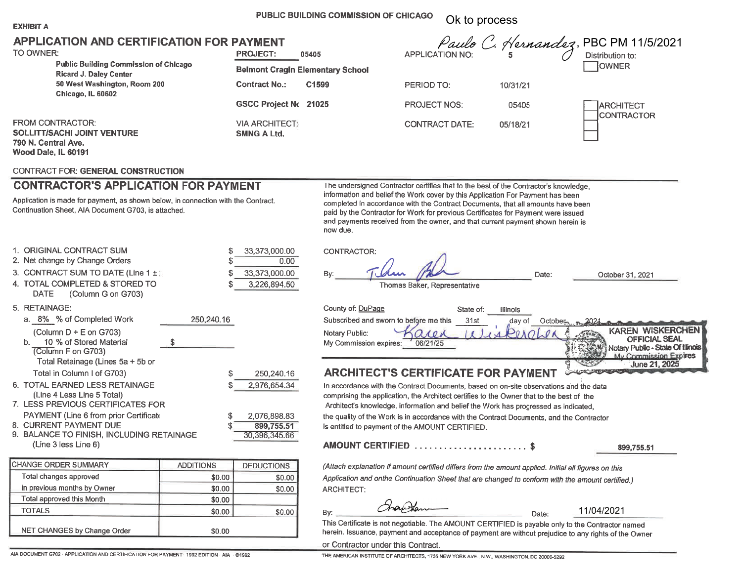#### PUBLIC BUILDING COMMISSION OF CHICAGO Ok to process

| 41BIT<br>۲Þ.<br>ı |  |
|-------------------|--|
|-------------------|--|

### **APPLICATION AND CERTIFICATION FOR PAYMENT**

|  | TO OWNER: |  |
|--|-----------|--|
|--|-----------|--|

| APPLICATION AND CERTIFICATION FOR PAYMENT<br>TO OWNER:                                                      | <b>PROJECT:</b>                             |                                                  |                       | Paulo C. Hernandez, PBC PM 11/5/2021<br>APPLICATION NO: 5 |                                       |
|-------------------------------------------------------------------------------------------------------------|---------------------------------------------|--------------------------------------------------|-----------------------|-----------------------------------------------------------|---------------------------------------|
| <b>Public Building Commission of Chicago</b><br><b>Ricard J. Daley Center</b>                               |                                             | 05405<br><b>Belmont Cragin Elementary School</b> |                       |                                                           | <b>OWNER</b>                          |
| 50 West Washington, Room 200<br>Chicago, IL 60602                                                           | <b>Contract No.:</b>                        | C <sub>1599</sub>                                | PERIOD TO:            | 10/31/21                                                  |                                       |
|                                                                                                             | <b>GSCC Project No. 21025</b>               |                                                  | <b>PROJECT NOS:</b>   | 05405                                                     | <b>ARCHITECT</b><br><b>CONTRACTOR</b> |
| <b>FROM CONTRACTOR:</b><br><b>SOLLITT/SACHI JOINT VENTURE</b><br>790 N. Central Ave.<br>Wood Dale, IL 60191 | <b>VIA ARCHITECT:</b><br><b>SMNG A Ltd.</b> |                                                  | <b>CONTRACT DATE:</b> | 05/18/21                                                  |                                       |

#### **CONTRACT FOR: GENERAL CONSTRUCTION**

## **CONTRACTOR'S APPLICATION FOR PAYMENT**

Application is made for payment, as shown below, in connection with the Contract. Continuation Sheet, AIA Document G703, is attached.

The undersigned Contractor certifies that to the best of the Contractor's knowledge, information and belief the Work cover by this Application For Payment has been completed in accordance with the Contract Documents, that all amounts have been paid by the Contractor for Work for previous Certificates for Payment were issued and payments received from the owner, and that current payment shown herein is now due.

| 1. ORIGINAL CONTRACT SUM                                                                                      |     | S          | 33,373,000.00                               | CONTRACTOR:                               |
|---------------------------------------------------------------------------------------------------------------|-----|------------|---------------------------------------------|-------------------------------------------|
| 2. Net change by Change Orders                                                                                |     |            | 0.00                                        |                                           |
| 3. CONTRACT SUM TO DATE (Line 1 $\pm$ )                                                                       |     | S          | 33,373,000.00                               | By:                                       |
| 4. TOTAL COMPLETED & STORED TO<br>(Column G on G703)<br><b>DATE</b>                                           |     |            | 3,226,894.50                                |                                           |
| 5. RETAINAGE:                                                                                                 |     |            |                                             | County of: DuPa                           |
| a. 8% % of Completed Work                                                                                     |     | 250,240.16 |                                             | Subscribed and                            |
| (Column $D + E$ on G703)<br>10 % of Stored Material<br>b.<br>(Column F on G703)                               | \$. |            |                                             | Notary Public:<br>My Commission           |
| Total Retainage (Lines 5a + 5b or                                                                             |     |            |                                             |                                           |
| Total in Column I of G703)                                                                                    |     |            | 250,240.16                                  | <b>ARCHITE(</b>                           |
| 6. TOTAL EARNED LESS RETAINAGE<br>(Line 4 Less Line 5 Total)                                                  |     |            | 2,976,654.34                                | In accordance wi<br>comprising the a      |
| 7. LESS PREVIOUS CERTIFICATES FOR                                                                             |     |            |                                             | Architect's know                          |
| PAYMENT (Line 6 from prior Certificate<br>8. CURRENT PAYMENT DUE<br>9. BALANCE TO FINISH, INCLUDING RETAINAGE |     | S          | 2,076,898.83<br>899,755.51<br>30,396,345.66 | the quality of the<br>is entitled to payr |
| (Line 3 less Line 6)                                                                                          |     |            |                                             | <b>AMOUNT CEI</b>                         |
|                                                                                                               |     |            |                                             |                                           |

| <b>CHANGE ORDER SUMMARY</b>        | <b>ADDITIONS</b> | <b>DEDUCTIONS</b> |
|------------------------------------|------------------|-------------------|
| Total changes approved             | \$0.00           | \$0.00            |
| in previous months by Owner        | \$0.00           | \$0.00            |
| Total approved this Month          | \$0.00           |                   |
| <b>TOTALS</b>                      | \$0.00           | \$0.00            |
| <b>NET CHANGES by Change Order</b> | \$0.00           |                   |

| By:<br>Thomas Baker, Representative                                                                                                                                                                                                                                                                                                                                                                                     | Date:                   | October 31, 2021                                                                                                        |
|-------------------------------------------------------------------------------------------------------------------------------------------------------------------------------------------------------------------------------------------------------------------------------------------------------------------------------------------------------------------------------------------------------------------------|-------------------------|-------------------------------------------------------------------------------------------------------------------------|
| County of: DuPage<br>State of:<br><b>Illinois</b><br>Subscribed and sworn to before me this<br>31st<br>day of<br>Notary Public:<br>My Commission expires:<br>06/21/25                                                                                                                                                                                                                                                   | October <sub>2002</sub> | <b>WISKERCHEN</b><br><b>KAREN</b><br><b>OFFICIAL SEAL</b><br>Notary Public - State Of Illinois<br>My Commission Expires |
| <b>ARCHITECT'S CERTIFICATE FOR PAYMENT</b>                                                                                                                                                                                                                                                                                                                                                                              |                         | June 21, 2025                                                                                                           |
| In accordance with the Contract Documents, based on on-site observations and the data<br>comprising the application, the Architect certifies to the Owner that to the best of the<br>Architect's knowledge, information and belief the Work has progressed as indicated,<br>the quality of the Work is in accordance with the Contract Documents, and the Contractor<br>is entitled to payment of the AMOUNT CERTIFIED. |                         |                                                                                                                         |

### AMOUNT CERTIFIED ........................ \$

899,755.51

(Attach explanation if amount certified differs from the amount applied. Initial all figures on this Application and onthe Continuation Sheet that are changed to conform with the amount certified.) ARCHITECT:

Frankan

11/04/2021

This Certificate is not negotiable. The AMOUNT CERTIFIED is payable only to the Contractor named herein. Issuance, payment and acceptance of payment are without prejudice to any rights of the Owner

Date:

or Contractor under this Contract.

By: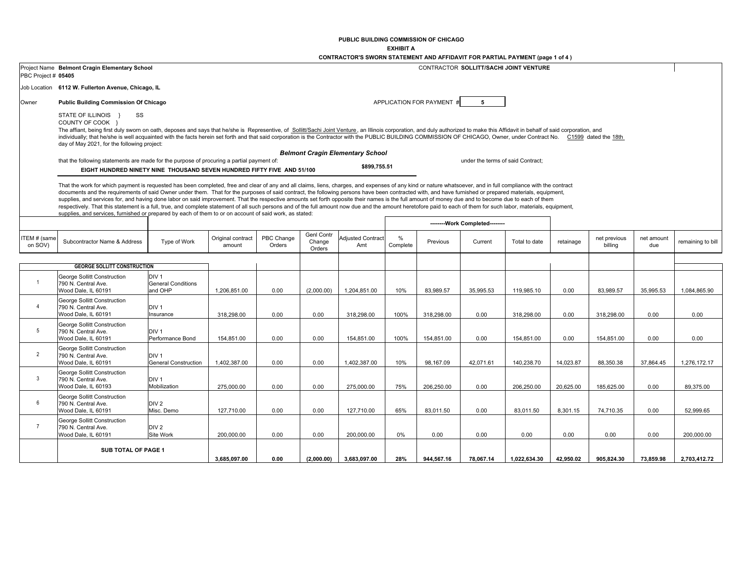**PUBLIC BUILDING COMMISSION OF CHICAGO**

**EXHIBIT A**

|                         |                                                                                                                                                                                                                                                                                                                                                                                                                                                                                                                                                                                                                                                                                                                                                                                                                                                                                                                                                                 |                                                          |                             |                      |                                       | CONTRACTOR'S SWORN STATEMENT AND AFFIDAVIT FOR PARTIAL PAYMENT (page 1 of 4) |               |                           |                                   |               |           |                         |                   |                   |
|-------------------------|-----------------------------------------------------------------------------------------------------------------------------------------------------------------------------------------------------------------------------------------------------------------------------------------------------------------------------------------------------------------------------------------------------------------------------------------------------------------------------------------------------------------------------------------------------------------------------------------------------------------------------------------------------------------------------------------------------------------------------------------------------------------------------------------------------------------------------------------------------------------------------------------------------------------------------------------------------------------|----------------------------------------------------------|-----------------------------|----------------------|---------------------------------------|------------------------------------------------------------------------------|---------------|---------------------------|-----------------------------------|---------------|-----------|-------------------------|-------------------|-------------------|
| PBC Project # 05405     | Project Name Belmont Cragin Elementary School                                                                                                                                                                                                                                                                                                                                                                                                                                                                                                                                                                                                                                                                                                                                                                                                                                                                                                                   | CONTRACTOR SOLLITT/SACHI JOINT VENTURE                   |                             |                      |                                       |                                                                              |               |                           |                                   |               |           |                         |                   |                   |
|                         | Job Location 6112 W. Fullerton Avenue, Chicago, IL                                                                                                                                                                                                                                                                                                                                                                                                                                                                                                                                                                                                                                                                                                                                                                                                                                                                                                              |                                                          |                             |                      |                                       |                                                                              |               |                           |                                   |               |           |                         |                   |                   |
| Owner                   | <b>Public Building Commission Of Chicago</b>                                                                                                                                                                                                                                                                                                                                                                                                                                                                                                                                                                                                                                                                                                                                                                                                                                                                                                                    |                                                          |                             |                      |                                       |                                                                              |               | APPLICATION FOR PAYMENT # | 5                                 |               |           |                         |                   |                   |
|                         | SS<br>STATE OF ILLINOIS }<br>COUNTY OF COOK }<br>The affiant, being first duly sworn on oath, deposes and says that he/she is Representive, of Sollitt/Sachi Joint Venture, an Illinois corporation, and duly authorized to make this Affidavit in behalf of said corporation,<br>individually; that he/she is well acquainted with the facts herein set forth and that said corporation is the Contractor with the PUBLIC BUILDING COMMISSION OF CHICAGO, Owner, under Contract No. C1599 dated the 18th<br>day of May 2021, for the following project:                                                                                                                                                                                                                                                                                                                                                                                                        |                                                          |                             |                      |                                       |                                                                              |               |                           |                                   |               |           |                         |                   |                   |
|                         |                                                                                                                                                                                                                                                                                                                                                                                                                                                                                                                                                                                                                                                                                                                                                                                                                                                                                                                                                                 |                                                          |                             |                      |                                       | <b>Belmont Cragin Elementary School</b>                                      |               |                           |                                   |               |           |                         |                   |                   |
|                         | that the following statements are made for the purpose of procuring a partial payment of:<br>EIGHT HUNDRED NINETY NINE THOUSAND SEVEN HUNDRED FIFTY FIVE AND 51/100                                                                                                                                                                                                                                                                                                                                                                                                                                                                                                                                                                                                                                                                                                                                                                                             |                                                          |                             |                      |                                       | \$899,755.51                                                                 |               |                           | under the terms of said Contract; |               |           |                         |                   |                   |
|                         | That the work for which payment is requested has been completed, free and clear of any and all claims, liens, charges, and expenses of any kind or nature whatsoever, and in full compliance with the contract<br>documents and the requirements of said Owner under them. That for the purposes of said contract, the following persons have been contracted with, and have furnished or prepared materials, equipment,<br>supplies, and services for, and having done labor on said improvement. That the respective amounts set forth opposite their names is the full amount of money due and to become due to each of them<br>respectively. That this statement is a full, true, and complete statement of all such persons and of the full amount now due and the amount heretofore paid to each of them for such labor, materials, equipment,<br>supplies, and services, furnished or prepared by each of them to or on account of said work, as stated: |                                                          |                             |                      |                                       |                                                                              |               |                           |                                   |               |           |                         |                   |                   |
|                         |                                                                                                                                                                                                                                                                                                                                                                                                                                                                                                                                                                                                                                                                                                                                                                                                                                                                                                                                                                 |                                                          |                             |                      |                                       |                                                                              |               |                           | -------- Work Completed--------   |               |           |                         |                   |                   |
| ITEM # (same<br>on SOV) | Subcontractor Name & Address                                                                                                                                                                                                                                                                                                                                                                                                                                                                                                                                                                                                                                                                                                                                                                                                                                                                                                                                    | Type of Work                                             | Original contract<br>amount | PBC Change<br>Orders | <b>Genl Contr</b><br>Change<br>Orders | <b>Adjusted Contract</b><br>Amt                                              | %<br>Complete | Previous                  | Current                           | Total to date | retainage | net previous<br>billing | net amount<br>due | remaining to bill |
|                         |                                                                                                                                                                                                                                                                                                                                                                                                                                                                                                                                                                                                                                                                                                                                                                                                                                                                                                                                                                 |                                                          |                             |                      |                                       |                                                                              |               |                           |                                   |               |           |                         |                   |                   |
|                         | <b>GEORGE SOLLITT CONSTRUCTION</b>                                                                                                                                                                                                                                                                                                                                                                                                                                                                                                                                                                                                                                                                                                                                                                                                                                                                                                                              |                                                          |                             |                      |                                       |                                                                              |               |                           |                                   |               |           |                         |                   |                   |
| $\mathbf{1}$            | George Sollitt Construction<br>790 N. Central Ave.<br>Wood Dale, IL 60191                                                                                                                                                                                                                                                                                                                                                                                                                                                                                                                                                                                                                                                                                                                                                                                                                                                                                       | DIV <sub>1</sub><br><b>General Conditions</b><br>and OHP | 1,206,851.00                | 0.00                 | (2,000.00)                            | 1,204,851.00                                                                 | 10%           | 83,989.57                 | 35,995.53                         | 119,985.10    | 0.00      | 83,989.57               | 35,995.53         | 1,084,865.90      |
| $\overline{4}$          | George Sollitt Construction<br>790 N. Central Ave.<br>Wood Dale, IL 60191                                                                                                                                                                                                                                                                                                                                                                                                                                                                                                                                                                                                                                                                                                                                                                                                                                                                                       | DIV <sub>1</sub><br>Insurance                            | 318,298.00                  | 0.00                 | 0.00                                  | 318,298.00                                                                   | 100%          | 318,298.00                | 0.00                              | 318,298.00    | 0.00      | 318,298.00              | 0.00              | 0.00              |
| 5                       | George Sollitt Construction<br>790 N. Central Ave.<br>Wood Dale, IL 60191                                                                                                                                                                                                                                                                                                                                                                                                                                                                                                                                                                                                                                                                                                                                                                                                                                                                                       | DIV <sub>1</sub><br>Performance Bond                     | 154,851.00                  | 0.00                 | 0.00                                  | 154,851.00                                                                   | 100%          | 154,851.00                | 0.00                              | 154,851.00    | 0.00      | 154,851.00              | 0.00              | 0.00              |
| $\overline{2}$          | George Sollitt Construction<br>790 N. Central Ave.<br>Wood Dale, IL 60191                                                                                                                                                                                                                                                                                                                                                                                                                                                                                                                                                                                                                                                                                                                                                                                                                                                                                       | DIV <sub>1</sub><br><b>General Construction</b>          | 1,402,387.00                | 0.00                 | 0.00                                  | 1,402,387.00                                                                 | 10%           | 98,167.09                 | 42,071.61                         | 140,238.70    | 14,023.87 | 88,350.38               | 37,864.45         | 1,276,172.17      |
| 3                       | George Sollitt Construction<br>790 N. Central Ave.<br>Wood Dale, IL 60193                                                                                                                                                                                                                                                                                                                                                                                                                                                                                                                                                                                                                                                                                                                                                                                                                                                                                       | DIV <sub>1</sub><br>Mobilization                         | 275,000.00                  | 0.00                 | 0.00                                  | 275,000.00                                                                   | 75%           | 206.250.00                | 0.00                              | 206,250.00    | 20,625.00 | 185.625.00              | 0.00              | 89.375.00         |
| 6                       | George Sollitt Construction<br>790 N. Central Ave.<br>Wood Dale, IL 60191                                                                                                                                                                                                                                                                                                                                                                                                                                                                                                                                                                                                                                                                                                                                                                                                                                                                                       | DIV <sub>2</sub><br>Misc. Demo                           | 127,710.00                  | 0.00                 | 0.00                                  | 127,710.00                                                                   | 65%           | 83,011.50                 | 0.00                              | 83,011.50     | 8,301.15  | 74.710.35               | 0.00              | 52.999.65         |
| $\overline{7}$          | George Sollitt Construction<br>790 N. Central Ave.<br>Wood Dale, IL 60191                                                                                                                                                                                                                                                                                                                                                                                                                                                                                                                                                                                                                                                                                                                                                                                                                                                                                       | DIV <sub>2</sub><br>Site Work                            | 200,000.00                  | 0.00                 | 0.00                                  | 200,000.00                                                                   | $0\%$         | 0.00                      | 0.00                              | 0.00          | 0.00      | 0.00                    | 0.00              | 200,000.00        |
|                         | SUB TOTAL OF PAGE 1                                                                                                                                                                                                                                                                                                                                                                                                                                                                                                                                                                                                                                                                                                                                                                                                                                                                                                                                             | 0.00                                                     | (2,000.00)                  | 3,683,097.00         | 28%                                   | 944,567.16                                                                   | 78,067.14     | 1,022,634.30              | 42,950.02                         | 905,824.30    | 73,859.98 | 2,703,412.72            |                   |                   |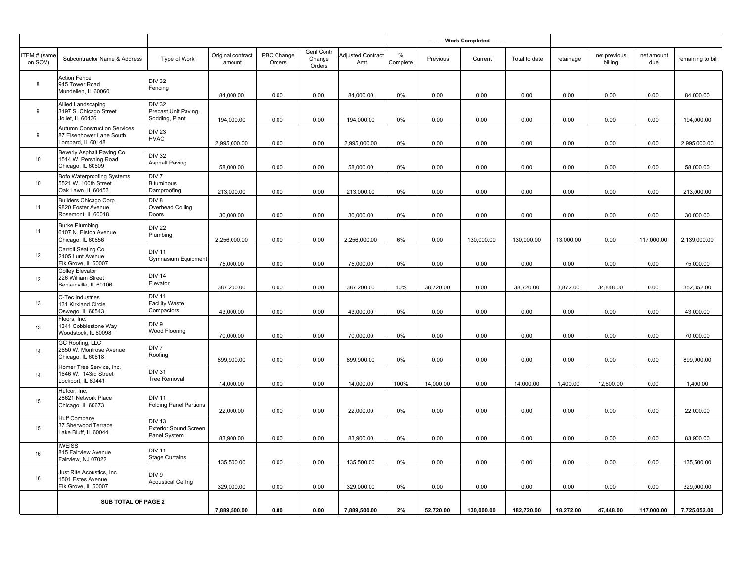|                         |                                                                                      |                                                               |                             |                      |                                       |                                 |                  |           | --------Work Completed-------- |               |           |                         |                   |                   |
|-------------------------|--------------------------------------------------------------------------------------|---------------------------------------------------------------|-----------------------------|----------------------|---------------------------------------|---------------------------------|------------------|-----------|--------------------------------|---------------|-----------|-------------------------|-------------------|-------------------|
| ITEM # (same<br>on SOV) | Subcontractor Name & Address                                                         | Type of Work                                                  | Original contract<br>amount | PBC Change<br>Orders | <b>Genl Contr</b><br>Change<br>Orders | <b>Adjusted Contract</b><br>Amt | $\%$<br>Complete | Previous  | Current                        | Total to date | retainage | net previous<br>billing | net amount<br>due | remaining to bill |
| 8                       | <b>Action Fence</b><br>945 Tower Road<br>Mundelien, IL 60060                         | <b>DIV 32</b><br>Fencing                                      | 84,000.00                   | 0.00                 | 0.00                                  | 84,000.00                       | 0%               | 0.00      | 0.00                           | 0.00          | 0.00      | 0.00                    | 0.00              | 84,000.00         |
| 9                       | Allied Landscaping<br>3197 S. Chicago Street<br>Joliet, IL 60436                     | <b>DIV 32</b><br>Precast Unit Paving,<br>Sodding, Plant       | 194,000.00                  | 0.00                 | 0.00                                  | 194,000.00                      | 0%               | 0.00      | 0.00                           | 0.00          | 0.00      | 0.00                    | 0.00              | 194,000.00        |
| 9                       | <b>Autumn Construction Services</b><br>87 Eisenhower Lane South<br>Lombard, IL 60148 | <b>DIV 23</b><br><b>HVAC</b>                                  | 2,995,000.00                | 0.00                 | 0.00                                  | 2,995,000.00                    | 0%               | 0.00      | 0.00                           | 0.00          | 0.00      | 0.00                    | 0.00              | 2,995,000.00      |
| 10 <sup>°</sup>         | Beverly Asphalt Paving Co<br>1514 W. Pershing Road<br>Chicago, IL 60609              | <b>DIV 32</b><br><b>Asphalt Paving</b>                        | 58,000.00                   | 0.00                 | 0.00                                  | 58,000.00                       | 0%               | 0.00      | 0.00                           | 0.00          | 0.00      | 0.00                    | 0.00              | 58,000.00         |
| 10                      | <b>Bofo Waterproofing Systems</b><br>5521 W. 100th Street<br>Oak Lawn, IL 60453      | DIV <sub>7</sub><br>Bituminous<br>Damproofing                 | 213,000.00                  | 0.00                 | 0.00                                  | 213,000.00                      | 0%               | 0.00      | 0.00                           | 0.00          | 0.00      | 0.00                    | 0.00              | 213,000.00        |
| 11                      | Builders Chicago Corp.<br>9820 Foster Avenue<br>Rosemont, IL 60018                   | DIV <sub>8</sub><br>Overhead Coiling<br>Doors                 | 30,000.00                   | 0.00                 | 0.00                                  | 30,000.00                       | 0%               | 0.00      | 0.00                           | 0.00          | 0.00      | 0.00                    | 0.00              | 30,000.00         |
| 11                      | <b>Burke Plumbing</b><br>6107 N. Elston Avenue<br>Chicago, IL 60656                  | <b>DIV 22</b><br>Plumbing                                     | 2,256,000.00                | 0.00                 | 0.00                                  | 2,256,000.00                    | 6%               | 0.00      | 130,000.00                     | 130,000.00    | 13,000.00 | 0.00                    | 117,000.00        | 2,139,000.00      |
| 12                      | Carroll Seating Co.<br>2105 Lunt Avenue<br>Elk Grove, IL 60007                       | <b>DIV 11</b><br><b>Gymnasium Equipment</b>                   | 75,000.00                   | 0.00                 | 0.00                                  | 75,000.00                       | 0%               | 0.00      | 0.00                           | 0.00          | 0.00      | 0.00                    | 0.00              | 75,000.00         |
| 12                      | <b>Colley Elevator</b><br>226 William Street<br>Bensenville, IL 60106                | <b>DIV 14</b><br>Elevator                                     | 387,200.00                  | 0.00                 | 0.00                                  | 387,200.00                      | 10%              | 38,720.00 | 0.00                           | 38,720.00     | 3,872.00  | 34,848.00               | 0.00              | 352,352.00        |
| 13                      | C-Tec Industries<br>131 Kirkland Circle<br>Oswego, IL 60543                          | <b>DIV 11</b><br><b>Facility Waste</b><br>Compactors          | 43,000.00                   | 0.00                 | 0.00                                  | 43,000.00                       | 0%               | 0.00      | 0.00                           | 0.00          | 0.00      | 0.00                    | 0.00              | 43,000.00         |
| 13                      | Floors, Inc.<br>1341 Cobblestone Way<br>Woodstock, IL 60098                          | DIV <sub>9</sub><br>Wood Flooring                             | 70,000.00                   | 0.00                 | 0.00                                  | 70,000.00                       | 0%               | 0.00      | 0.00                           | 0.00          | 0.00      | 0.00                    | 0.00              | 70,000.00         |
| 14                      | GC Roofing, LLC<br>2650 W. Montrose Avenue<br>Chicago, IL 60618                      | DIV <sub>7</sub><br>Roofing                                   | 899,900.00                  | 0.00                 | 0.00                                  | 899,900.00                      | 0%               | 0.00      | 0.00                           | 0.00          | 0.00      | 0.00                    | 0.00              | 899,900.00        |
| 14                      | Homer Tree Service, Inc.<br>1646 W. 143rd Street<br>Lockport, IL 60441               | <b>DIV 31</b><br>Tree Removal                                 | 14,000.00                   | 0.00                 | 0.00                                  | 14,000.00                       | 100%             | 14,000.00 | 0.00                           | 14,000.00     | 1,400.00  | 12,600.00               | 0.00              | 1,400.00          |
| 15                      | Hufcor, Inc.<br>28621 Network Place<br>Chicago, IL 60673                             | <b>DIV 11</b><br><b>Folding Panel Partions</b>                | 22,000.00                   | 0.00                 | 0.00                                  | 22,000.00                       | 0%               | 0.00      | 0.00                           | 0.00          | 0.00      | 0.00                    | 0.00              | 22,000.00         |
| 15                      | Huff Company<br>37 Sherwood Terrace<br>Lake Bluff, IL 60044                          | <b>DIV 13</b><br><b>Exterior Sound Screen</b><br>Panel System | 83,900.00                   | 0.00                 | 0.00                                  | 83,900.00                       | 0%               | 0.00      | 0.00                           | 0.00          | 0.00      | 0.00                    | 0.00              | 83,900.00         |
| 16                      | <b>IWEISS</b><br>815 Fairview Avenue<br>Fairview, NJ 07022                           | <b>DIV 11</b><br><b>Stage Curtains</b>                        | 135,500.00                  | 0.00                 | 0.00                                  | 135,500.00                      | 0%               | 0.00      | 0.00                           | 0.00          | 0.00      | 0.00                    | 0.00              | 135,500.00        |
| 16                      | lust Rite Acoustics, Inc.<br>1501 Estes Avenue<br>Elk Grove, IL 60007                | DIV <sub>9</sub><br><b>Acoustical Ceiling</b>                 | 329,000.00                  | 0.00                 | 0.00                                  | 329,000.00                      | 0%               | 0.00      | 0.00                           | 0.00          | 0.00      | 0.00                    | 0.00              | 329,000.00        |
|                         | SUB TOTAL OF PAGE 2                                                                  |                                                               | 7,889,500.00                | 0.00                 | 0.00                                  | 7,889,500.00                    | 2%               | 52,720.00 | 130,000.00                     | 182,720.00    | 18,272.00 | 47,448.00               | 117,000.00        | 7,725,052.00      |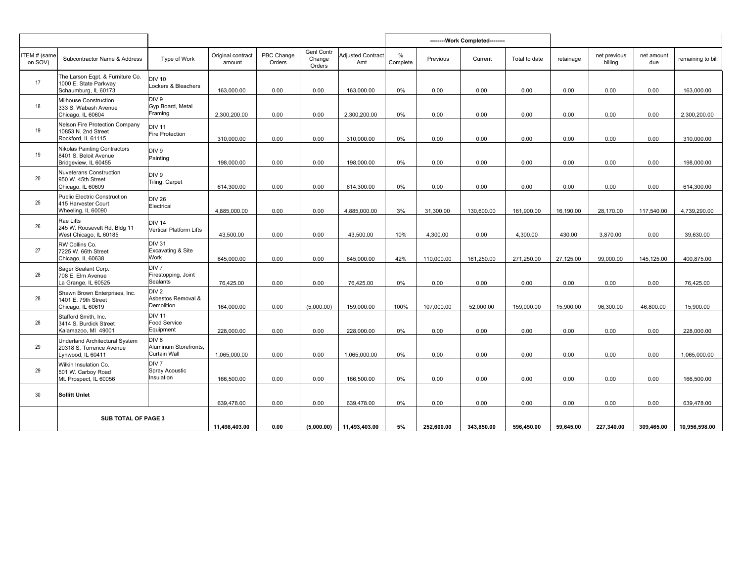|                        |                                                                                        |                                                            |                             |                      |                                       |                                 |               |            | --------Work Completed-------- |               |           |                         |                   |                   |
|------------------------|----------------------------------------------------------------------------------------|------------------------------------------------------------|-----------------------------|----------------------|---------------------------------------|---------------------------------|---------------|------------|--------------------------------|---------------|-----------|-------------------------|-------------------|-------------------|
| TEM # (same<br>on SOV) | Subcontractor Name & Address                                                           | Type of Work                                               | Original contract<br>amount | PBC Change<br>Orders | <b>Genl Contr</b><br>Change<br>Orders | <b>Adjusted Contract</b><br>Amt | %<br>Complete | Previous   | Current                        | Total to date | retainage | net previous<br>billing | net amount<br>due | remaining to bill |
| 17                     | The Larson Eqpt. & Furniture Co.<br>1000 E. State Parkway<br>Schaumburg, IL 60173      | <b>DIV 10</b><br>Lockers & Bleachers                       | 163,000.00                  | 0.00                 | 0.00                                  | 163,000.00                      | 0%            | 0.00       | 0.00                           | 0.00          | 0.00      | 0.00                    | 0.00              | 163,000.00        |
| 18                     | Milhouse Construction<br>333 S. Wabash Avenue<br>Chicago, IL 60604                     | DIV 9<br>Gyp Board, Metal<br>Framing                       | 2,300,200.00                | 0.00                 | 0.00                                  | 2,300,200.00                    | 0%            | 0.00       | 0.00                           | 0.00          | 0.00      | 0.00                    | 0.00              | 2,300,200.00      |
| 19                     | <b>Nelson Fire Protection Company</b><br>10853 N. 2nd Street<br>Rockford, IL 61115     | <b>DIV 11</b><br>Fire Protection                           | 310,000.00                  | 0.00                 | 0.00                                  | 310,000.00                      | 0%            | 0.00       | 0.00                           | 0.00          | 0.00      | 0.00                    | 0.00              | 310,000.00        |
| 19                     | <b>Nikolas Painting Contractors</b><br>8401 S. Beloit Avenue<br>Bridgeview, IL 60455   | DIV 9<br>Painting                                          | 198,000.00                  | 0.00                 | 0.00                                  | 198,000.00                      | 0%            | 0.00       | 0.00                           | 0.00          | 0.00      | 0.00                    | 0.00              | 198,000.00        |
| 20                     | <b>Nuveterans Construction</b><br>950 W. 45th Street<br>Chicago, IL 60609              | DIV 9<br>Tiling, Carpet                                    | 614,300.00                  | 0.00                 | 0.00                                  | 614,300.00                      | 0%            | 0.00       | 0.00                           | 0.00          | 0.00      | 0.00                    | 0.00              | 614,300.00        |
| 25                     | <b>Public Electric Construction</b><br>415 Harvester Court<br>Wheeling, IL 60090       | <b>DIV 26</b><br>Electrical                                | 4,885,000.00                | 0.00                 | 0.00                                  | 4,885,000.00                    | 3%            | 31,300.00  | 130,600.00                     | 161,900.00    | 16,190.00 | 28,170.00               | 117,540.00        | 4,739,290.00      |
| 26                     | Rae Lifts<br>245 W. Roosevelt Rd, Bldg 11<br>West Chicago, IL 60185                    | <b>DIV 14</b><br><b>Vertical Platform Lifts</b>            | 43,500.00                   | 0.00                 | 0.00                                  | 43,500.00                       | 10%           | 4,300.00   | 0.00                           | 4,300.00      | 430.00    | 3,870.00                | 0.00              | 39,630.00         |
| 27                     | RW Collins Co.<br>7225 W. 66th Street<br>Chicago, IL 60638                             | <b>DIV 31</b><br><b>Excavating &amp; Site</b><br>Work      | 645,000.00                  | 0.00                 | 0.00                                  | 645,000.00                      | 42%           | 110,000.00 | 161,250.00                     | 271,250.00    | 27,125.00 | 99.000.00               | 145,125.00        | 400,875.00        |
| 28                     | Sager Sealant Corp.<br>708 E. Elm Avenue<br>La Grange, IL 60525                        | DIV <sub>7</sub><br>Firestopping, Joint<br><b>Sealants</b> | 76,425.00                   | 0.00                 | 0.00                                  | 76,425.00                       | 0%            | 0.00       | 0.00                           | 0.00          | 0.00      | 0.00                    | 0.00              | 76,425.00         |
| 28                     | Shawn Brown Enterprises, Inc.<br>1401 E. 79th Street<br>Chicago, IL 60619              | DIV <sub>2</sub><br>Asbestos Removal &<br>Demolition       | 164.000.00                  | 0.00                 | (5,000.00)                            | 159,000.00                      | 100%          | 107.000.00 | 52.000.00                      | 159.000.00    | 15,900.00 | 96.300.00               | 46,800.00         | 15.900.00         |
| 28                     | Stafford Smith, Inc.<br>3414 S. Burdick Street<br>Kalamazoo, MI 49001                  | <b>DIV 11</b><br><b>Food Service</b><br>Equipment          | 228,000.00                  | 0.00                 | 0.00                                  | 228,000.00                      | 0%            | 0.00       | 0.00                           | 0.00          | 0.00      | 0.00                    | 0.00              | 228,000.00        |
| 29                     | <b>Underland Architectural System</b><br>20318 S. Torrence Avenue<br>Lynwood, IL 60411 | DIV <sub>8</sub><br>Aluminum Storefronts,<br>Curtain Wall  | 1,065,000.00                | 0.00                 | 0.00                                  | 1,065,000.00                    | 0%            | 0.00       | 0.00                           | 0.00          | 0.00      | 0.00                    | 0.00              | 1,065,000.00      |
| 29                     | Wilkin Insulation Co.<br>501 W. Carboy Road<br>Mt. Prospect, IL 60056                  | DIV <sub>7</sub><br><b>Spray Acoustic</b><br>Insulation    | 166,500.00                  | 0.00                 | 0.00                                  | 166,500.00                      | 0%            | 0.00       | 0.00                           | 0.00          | 0.00      | 0.00                    | 0.00              | 166,500.00        |
| 30 <sup>°</sup>        | <b>Sollitt Unlet</b>                                                                   |                                                            | 639,478.00                  | 0.00                 | 0.00                                  | 639,478.00                      | 0%            | 0.00       | 0.00                           | 0.00          | 0.00      | 0.00                    | 0.00              | 639,478.00        |
|                        | <b>SUB TOTAL OF PAGE 3</b>                                                             |                                                            | 11,498,403.00               | 0.00                 | (5,000.00)                            | 11,493,403.00                   | 5%            | 252,600.00 | 343,850.00                     | 596,450.00    | 59,645.00 | 227,340.00              | 309,465.00        | 10,956,598.00     |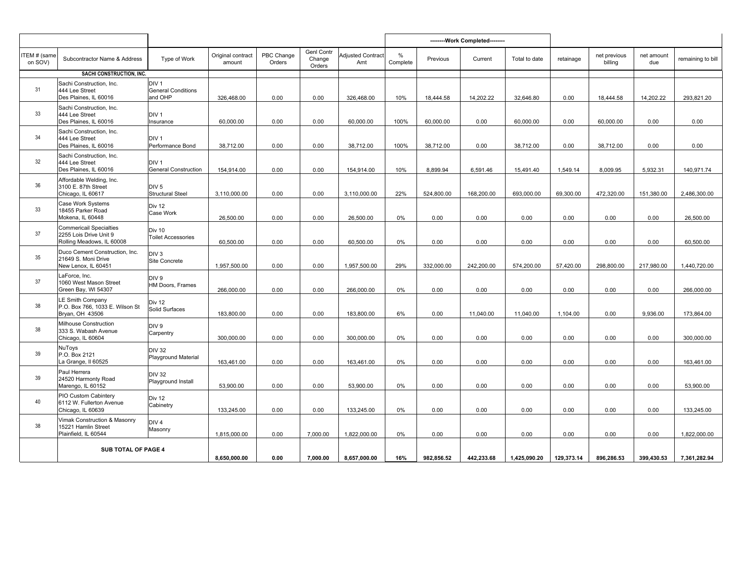|                         |                                                                                       |                                                          |                             |                      |                                       |                                 |               |            | --------Work Completed-------- |               |            |                         |                   |                   |
|-------------------------|---------------------------------------------------------------------------------------|----------------------------------------------------------|-----------------------------|----------------------|---------------------------------------|---------------------------------|---------------|------------|--------------------------------|---------------|------------|-------------------------|-------------------|-------------------|
| ITEM # (same<br>on SOV) | Subcontractor Name & Address                                                          | Type of Work                                             | Original contract<br>amount | PBC Change<br>Orders | <b>Genl Contr</b><br>Change<br>Orders | <b>Adjusted Contract</b><br>Amt | %<br>Complete | Previous   | Current                        | Total to date | retainage  | net previous<br>billing | net amount<br>due | remaining to bill |
|                         | SACHI CONSTRUCTION. INC.                                                              |                                                          |                             |                      |                                       |                                 |               |            |                                |               |            |                         |                   |                   |
| 31                      | Sachi Construction, Inc.<br>444 Lee Street<br>Des Plaines, IL 60016                   | DIV <sub>1</sub><br><b>General Conditions</b><br>and OHP | 326,468.00                  | 0.00                 | 0.00                                  | 326.468.00                      | 10%           | 18.444.58  | 14.202.22                      | 32.646.80     | 0.00       | 18.444.58               | 14.202.22         | 293,821.20        |
| 33                      | Sachi Construction, Inc.<br>444 Lee Street<br>Des Plaines, IL 60016                   | DIV <sub>1</sub><br>Insurance                            | 60,000.00                   | 0.00                 | 0.00                                  | 60,000.00                       | 100%          | 60,000.00  | 0.00                           | 60,000.00     | 0.00       | 60,000.00               | 0.00              | 0.00              |
| 34                      | Sachi Construction, Inc.<br>444 Lee Street<br>Des Plaines, IL 60016                   | DIV <sub>1</sub><br>Performance Bond                     | 38,712.00                   | 0.00                 | 0.00                                  | 38,712.00                       | 100%          | 38,712.00  | 0.00                           | 38,712.00     | 0.00       | 38.712.00               | 0.00              | 0.00              |
| 32                      | Sachi Construction, Inc.<br>444 Lee Street<br>Des Plaines, IL 60016                   | DIV <sub>1</sub><br><b>General Construction</b>          | 154,914.00                  | 0.00                 | 0.00                                  | 154,914.00                      | 10%           | 8,899.94   | 6,591.46                       | 15,491.40     | 1,549.14   | 8,009.95                | 5,932.31          | 140,971.74        |
| 36                      | Affordable Welding, Inc.<br>3100 E. 87th Street<br>Chicago, IL 60617                  | DIV <sub>5</sub><br><b>Structural Steel</b>              | 3,110,000.00                | 0.00                 | 0.00                                  | 3,110,000.00                    | 22%           | 524,800.00 | 168,200.00                     | 693,000.00    | 69,300.00  | 472,320.00              | 151,380.00        | 2,486,300.00      |
| 33                      | Case Work Systems<br>18455 Parker Road<br>Mokena, IL 60448                            | Div 12<br>Case Work                                      | 26,500.00                   | 0.00                 | 0.00                                  | 26,500.00                       | 0%            | 0.00       | 0.00                           | 0.00          | 0.00       | 0.00                    | 0.00              | 26,500.00         |
| 37                      | <b>Commericail Specialties</b><br>2255 Lois Drive Unit 9<br>Rolling Meadows, IL 60008 | Div 10<br><b>Toilet Accessories</b>                      | 60,500.00                   | 0.00                 | 0.00                                  | 60,500.00                       | 0%            | 0.00       | 0.00                           | 0.00          | 0.00       | 0.00                    | 0.00              | 60,500.00         |
| 35                      | Duco Cement Construction, Inc.<br>21649 S. Moni Drive<br>New Lenox, IL 60451          | DIV <sub>3</sub><br>Site Concrete                        | 1,957,500.00                | 0.00                 | 0.00                                  | 1,957,500.00                    | 29%           | 332,000.00 | 242,200.00                     | 574,200.00    | 57,420.00  | 298,800.00              | 217,980.00        | 1,440,720.00      |
| 37                      | LaForce, Inc.<br>1060 West Mason Street<br>Green Bay, WI 54307                        | DIV 9<br>HM Doors, Frames                                | 266,000.00                  | 0.00                 | 0.00                                  | 266,000.00                      | 0%            | 0.00       | 0.00                           | 0.00          | 0.00       | 0.00                    | 0.00              | 266,000.00        |
| 38                      | LE Smith Company<br>P.O. Box 766, 1033 E. Wilson St<br>Bryan, OH 43506                | Div 12<br>Solid Surfaces                                 | 183,800.00                  | 0.00                 | 0.00                                  | 183,800.00                      | 6%            | 0.00       | 11,040.00                      | 11,040.00     | 1,104.00   | 0.00                    | 9,936.00          | 173,864.00        |
| 38                      | Milhouse Construction<br>333 S. Wabash Avenue<br>Chicago, IL 60604                    | DIV <sub>9</sub><br>Carpentry                            | 300,000.00                  | 0.00                 | 0.00                                  | 300,000.00                      | 0%            | 0.00       | 0.00                           | 0.00          | 0.00       | 0.00                    | 0.00              | 300,000.00        |
| 39                      | NuToys<br>P.O. Box 2121<br>La Grange, Il 60525                                        | <b>DIV 32</b><br><b>Playground Material</b>              | 163,461.00                  | 0.00                 | 0.00                                  | 163,461.00                      | 0%            | 0.00       | 0.00                           | 0.00          | 0.00       | 0.00                    | 0.00              | 163,461.00        |
| 39                      | Paul Herrera<br>24520 Harmonty Road<br>Marengo, IL 60152                              | <b>DIV 32</b><br>Playground Install                      | 53,900.00                   | 0.00                 | 0.00                                  | 53,900.00                       | 0%            | 0.00       | 0.00                           | 0.00          | 0.00       | 0.00                    | 0.00              | 53,900.00         |
| 40                      | PIO Custom Cabintery<br>6112 W. Fullerton Avenue<br>Chicago, IL 60639                 | Div 12<br>Cabinetry                                      | 133,245.00                  | 0.00                 | 0.00                                  | 133,245.00                      | 0%            | 0.00       | 0.00                           | 0.00          | 0.00       | 0.00                    | 0.00              | 133,245.00        |
| 38                      | Vimak Construction & Masonry<br>15221 Hamlin Street<br>Plainfield, IL 60544           | DIV <sub>4</sub><br>Masonry                              | 1,815,000.00                | 0.00                 | 7,000.00                              | 1,822,000.00                    | 0%            | 0.00       | 0.00                           | 0.00          | 0.00       | 0.00                    | 0.00              | 1,822,000.00      |
|                         | SUB TOTAL OF PAGE 4                                                                   |                                                          | 8,650,000.00                | 0.00                 | 7.000.00                              | 8,657,000.00                    | 16%           | 982,856.52 | 442,233.68                     | 1,425,090.20  | 129,373.14 | 896,286.53              | 399,430.53        | 7,361,282.94      |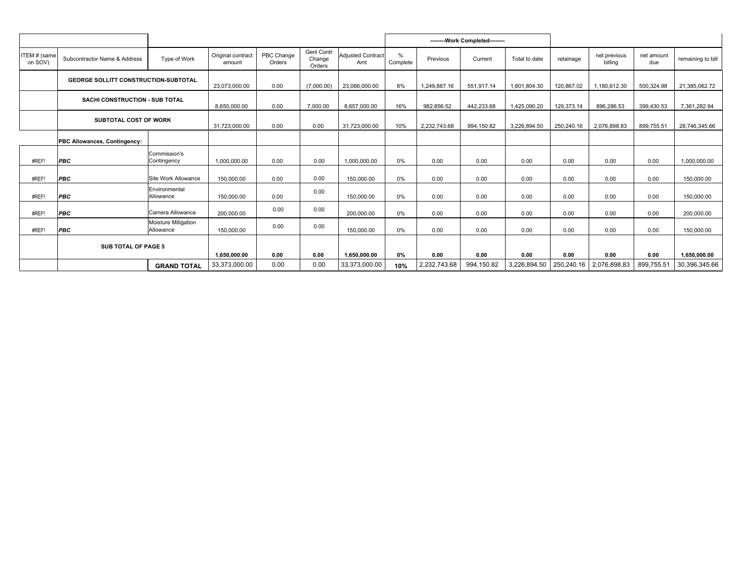|                         |                                             |                                  |                               |                      |                                       |                                 |                           |                      | -------- Work Completed-------- |                      |                    |                         |                    |                               |
|-------------------------|---------------------------------------------|----------------------------------|-------------------------------|----------------------|---------------------------------------|---------------------------------|---------------------------|----------------------|---------------------------------|----------------------|--------------------|-------------------------|--------------------|-------------------------------|
| ITEM # (same<br>on SOV) | Subcontractor Name & Address                | Type of Work                     | Original contract<br>amount   | PBC Change<br>Orders | <b>Genl Contr</b><br>Change<br>Orders | <b>Adjusted Contract</b><br>Amt | $\frac{0}{0}$<br>Complete | Previous             | Current                         | Total to date        | retainage          | net previous<br>billina | net amount<br>due  | remaining to bill             |
|                         | <b>GEORGE SOLLITT CONSTRUCTION-SUBTOTAL</b> |                                  | 23.073.000.00                 | 0.00                 | (7,000.00)                            | 23,066,000.00                   | 8%                        | 1,249,887.16         | 551,917.14                      | 1,801,804.30         | 120,867.02         | 1,180,612.30            | 500,324.98         | 21,385,062.72                 |
|                         | SACHI CONSTRUCTION - SUB TOTAL              |                                  | 8,650,000.00                  | 0.00                 | 7.000.00                              | 8,657,000.00                    | 16%                       | 982.856.52           | 442.233.68                      | 1.425.090.20         | 129,373.14         | 896.286.53              | 399,430.53         | 7,361,282.94                  |
|                         | <b>SUBTOTAL COST OF WORK</b>                |                                  | 31,723,000.00                 | 0.00                 | 0.00                                  | 31,723,000.00                   | 10%                       | 2,232,743.68         | 994,150.82                      | 3,226,894.50         | 250,240.16         | 2,076,898.83            | 899,755.51         | 28,746,345.66                 |
|                         | PBC Allowances, Contingency:                |                                  |                               |                      |                                       |                                 |                           |                      |                                 |                      |                    |                         |                    |                               |
| #REF!                   | <b>PBC</b>                                  | Commission's<br>Contingency      | 1.000.000.00                  | 0.00                 | 0.00                                  | 1,000,000.00                    | 0%                        | 0.00                 | 0.00                            | 0.00                 | 0.00               | 0.00                    | 0.00               | 1.000.000.00                  |
| #REF!                   | PBC                                         | Site Work Allowance              | 150.000.00                    | 0.00                 | 0.00                                  | 150.000.00                      | 0%                        | 0.00                 | 0.00                            | 0.00                 | 0.00               | 0.00                    | 0.00               | 150,000.00                    |
| #REF!                   | <b>PBC</b>                                  | Environmental<br>Allowance       | 150,000.00                    | 0.00                 | 0.00                                  | 150,000.00                      | 0%                        | 0.00                 | 0.00                            | 0.00                 | 0.00               | 0.00                    | 0.00               | 150,000.00                    |
| #REF!                   | <b>PBC</b>                                  | Camera Allowance                 | 200.000.00                    | 0.00                 | 0.00                                  | 200.000.00                      | 0%                        | 0.00                 | 0.00                            | 0.00                 | 0.00               | 0.00                    | 0.00               | 200.000.00                    |
| #REF!                   | PBC                                         | Moisture Mitigation<br>Allowance | 150,000.00                    | 0.00                 | 0.00                                  | 150,000.00                      | 0%                        | 0.00                 | 0.00                            | 0.00                 | 0.00               | 0.00                    | 0.00               | 150,000.00                    |
|                         | <b>SUB TOTAL OF PAGE 5</b>                  |                                  |                               |                      |                                       |                                 |                           |                      |                                 |                      |                    |                         |                    |                               |
|                         |                                             | <b>GRAND TOTAL</b>               | 1,650,000.00<br>33,373,000.00 | 0.00<br>0.00         | 0.00<br>0.00                          | 1,650,000.00<br>33,373,000.00   | 0%<br>10%                 | 0.00<br>2,232,743.68 | 0.00<br>994,150.82              | 0.00<br>3,226,894.50 | 0.00<br>250,240.16 | 0.00<br>2,076,898.83    | 0.00<br>899,755.51 | 1.650.000.00<br>30,396,345.66 |